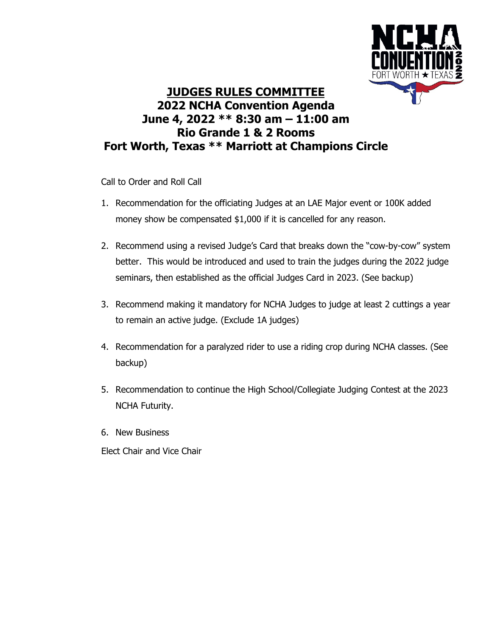

## **JUDGES RULES COMMITTEE 2022 NCHA Convention Agenda June 4, 2022 \*\* 8:30 am – 11:00 am Rio Grande 1 & 2 Rooms Fort Worth, Texas \*\* Marriott at Champions Circle**

Call to Order and Roll Call

- 1. Recommendation for the officiating Judges at an LAE Major event or 100K added money show be compensated \$1,000 if it is cancelled for any reason.
- 2. Recommend using a revised Judge's Card that breaks down the "cow-by-cow" system better. This would be introduced and used to train the judges during the 2022 judge seminars, then established as the official Judges Card in 2023. (See backup)
- 3. Recommend making it mandatory for NCHA Judges to judge at least 2 cuttings a year to remain an active judge. (Exclude 1A judges)
- 4. Recommendation for a paralyzed rider to use a riding crop during NCHA classes. (See backup)
- 5. Recommendation to continue the High School/Collegiate Judging Contest at the 2023 NCHA Futurity.
- 6. New Business

Elect Chair and Vice Chair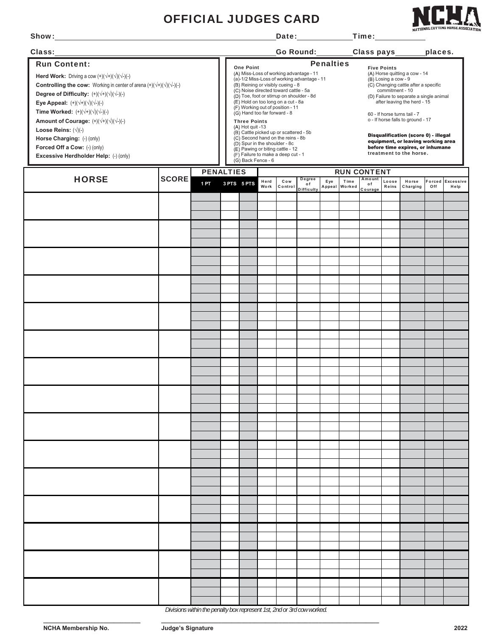## OFFICIAL JUDGES CARD

|  |  | í |
|--|--|---|
|  |  | ı |

| Show:                                                                                                                                                                                                                                                                                                                                                                                                                                                                                                                                                           |              |                  |                                                                                                                                                                                                                                                                                                                                                                                                                                                                                                                                                                                                                                |             |              |                      | Date: Date:                                                                                                                                                                                                                                                                                                                                                                                                                        |     |                       | _Time: $\_$             |                |                   |     |                          |
|-----------------------------------------------------------------------------------------------------------------------------------------------------------------------------------------------------------------------------------------------------------------------------------------------------------------------------------------------------------------------------------------------------------------------------------------------------------------------------------------------------------------------------------------------------------------|--------------|------------------|--------------------------------------------------------------------------------------------------------------------------------------------------------------------------------------------------------------------------------------------------------------------------------------------------------------------------------------------------------------------------------------------------------------------------------------------------------------------------------------------------------------------------------------------------------------------------------------------------------------------------------|-------------|--------------|----------------------|------------------------------------------------------------------------------------------------------------------------------------------------------------------------------------------------------------------------------------------------------------------------------------------------------------------------------------------------------------------------------------------------------------------------------------|-----|-----------------------|-------------------------|----------------|-------------------|-----|--------------------------|
| Class:<br><u> 1989 - Johann Barn, mars ar breithinn ar chuid ann an t-</u>                                                                                                                                                                                                                                                                                                                                                                                                                                                                                      |              |                  |                                                                                                                                                                                                                                                                                                                                                                                                                                                                                                                                                                                                                                |             |              | Go Round: Class pays |                                                                                                                                                                                                                                                                                                                                                                                                                                    |     |                       | places.                 |                |                   |     |                          |
| <b>Run Content:</b><br>Herd Work: Driving a cow $(+)(\sqrt{+})(\sqrt{+})(\sqrt{-})(-)$<br><b>Controlling the cow:</b> Working in center of arena $(+)(\sqrt{+})(\sqrt{+})(-)$<br>Degree of Difficulty: $(+)(\sqrt{+})(\sqrt{+})(\sqrt{-})(-)$<br>Eye Appeal: $(+)(\sqrt{+})(\sqrt{+})(\sqrt{-})(-)$<br>Time Worked: $(+)(\sqrt{+})(\sqrt{+})(\sqrt{-})(-)$<br>Amount of Courage: $(+)(\sqrt{+})(\sqrt{+})(\sqrt{-})(-)$<br>Loose Reins: $(\sqrt{1})$ (-)<br>Horse Charging: (-) (only)<br>Forced Off a Cow: (-) (only)<br>Excessive Herdholder Help: (-) (only) |              |                  | <b>Penalties</b><br><b>One Point</b><br>(A) Miss-Loss of working advantage - 11<br>(a)-1/2 Miss-Loss of working advantage - 11<br>(B) Reining or visibly cueing - 8<br>(C) Noise directed toward cattle - 5a<br>(D) Toe, foot or stirrup on shoulder - 8d<br>(E) Hold on too long on a cut - 8a<br>(F) Working out of position - 11<br>(G) Hand too far forward - 8<br><b>Three Points</b><br>(A) Hot quit -13<br>(B) Cattle picked up or scattered - 5b<br>(C) Second hand on the reins - 8b<br>(D) Spur in the shoulder - 8c<br>(E) Pawing or biting cattle - 12<br>(F) Failure to make a deep cut - 1<br>(G) Back Fence - 6 |             |              |                      | <b>Five Points</b><br>(A) Horse quitting a cow - 14<br>(B) Losing a cow - 9<br>(C) Changing cattle after a specific<br>commitment - 10<br>(D) Failure to separate a single animal<br>after leaving the herd - 15<br>60 - If horse turns tail - 7<br>o - If horse falls to ground - 17<br>Disqualification (score 0) - illegal<br>equipment, or leaving working area<br>before time expires, or inhumane<br>treatment to the horse. |     |                       |                         |                |                   |     |                          |
|                                                                                                                                                                                                                                                                                                                                                                                                                                                                                                                                                                 |              | <b>PENALTIES</b> |                                                                                                                                                                                                                                                                                                                                                                                                                                                                                                                                                                                                                                |             |              |                      |                                                                                                                                                                                                                                                                                                                                                                                                                                    |     | <b>RUN CONTENT</b>    |                         |                |                   |     |                          |
| <b>HORSE</b>                                                                                                                                                                                                                                                                                                                                                                                                                                                                                                                                                    | <b>SCORE</b> | 1PT              |                                                                                                                                                                                                                                                                                                                                                                                                                                                                                                                                                                                                                                | 3 PTS 5 PTS | Herd<br>Work | Cow<br>Control       | Degree<br>of<br><b>Difficulty</b>                                                                                                                                                                                                                                                                                                                                                                                                  | Eye | Time<br>Appeal Worked | Amount<br>of<br>Courage | Loose<br>Reins | Horse<br>Charging | Off | Forced Excessive<br>Help |
|                                                                                                                                                                                                                                                                                                                                                                                                                                                                                                                                                                 |              |                  |                                                                                                                                                                                                                                                                                                                                                                                                                                                                                                                                                                                                                                |             |              |                      |                                                                                                                                                                                                                                                                                                                                                                                                                                    |     |                       |                         |                |                   |     |                          |
|                                                                                                                                                                                                                                                                                                                                                                                                                                                                                                                                                                 |              |                  |                                                                                                                                                                                                                                                                                                                                                                                                                                                                                                                                                                                                                                |             |              |                      |                                                                                                                                                                                                                                                                                                                                                                                                                                    |     |                       |                         |                |                   |     |                          |
|                                                                                                                                                                                                                                                                                                                                                                                                                                                                                                                                                                 |              |                  |                                                                                                                                                                                                                                                                                                                                                                                                                                                                                                                                                                                                                                |             |              |                      |                                                                                                                                                                                                                                                                                                                                                                                                                                    |     |                       |                         |                |                   |     |                          |
|                                                                                                                                                                                                                                                                                                                                                                                                                                                                                                                                                                 |              |                  |                                                                                                                                                                                                                                                                                                                                                                                                                                                                                                                                                                                                                                |             |              |                      |                                                                                                                                                                                                                                                                                                                                                                                                                                    |     |                       |                         |                |                   |     |                          |
|                                                                                                                                                                                                                                                                                                                                                                                                                                                                                                                                                                 |              |                  |                                                                                                                                                                                                                                                                                                                                                                                                                                                                                                                                                                                                                                |             |              |                      |                                                                                                                                                                                                                                                                                                                                                                                                                                    |     |                       |                         |                |                   |     |                          |
|                                                                                                                                                                                                                                                                                                                                                                                                                                                                                                                                                                 |              |                  |                                                                                                                                                                                                                                                                                                                                                                                                                                                                                                                                                                                                                                |             |              |                      |                                                                                                                                                                                                                                                                                                                                                                                                                                    |     |                       |                         |                |                   |     |                          |
|                                                                                                                                                                                                                                                                                                                                                                                                                                                                                                                                                                 |              |                  |                                                                                                                                                                                                                                                                                                                                                                                                                                                                                                                                                                                                                                |             |              |                      |                                                                                                                                                                                                                                                                                                                                                                                                                                    |     |                       |                         |                |                   |     |                          |
|                                                                                                                                                                                                                                                                                                                                                                                                                                                                                                                                                                 |              |                  |                                                                                                                                                                                                                                                                                                                                                                                                                                                                                                                                                                                                                                |             |              |                      |                                                                                                                                                                                                                                                                                                                                                                                                                                    |     |                       |                         |                |                   |     |                          |
|                                                                                                                                                                                                                                                                                                                                                                                                                                                                                                                                                                 |              |                  |                                                                                                                                                                                                                                                                                                                                                                                                                                                                                                                                                                                                                                |             |              |                      |                                                                                                                                                                                                                                                                                                                                                                                                                                    |     |                       |                         |                |                   |     |                          |
|                                                                                                                                                                                                                                                                                                                                                                                                                                                                                                                                                                 |              |                  |                                                                                                                                                                                                                                                                                                                                                                                                                                                                                                                                                                                                                                |             |              |                      |                                                                                                                                                                                                                                                                                                                                                                                                                                    |     |                       |                         |                |                   |     |                          |
|                                                                                                                                                                                                                                                                                                                                                                                                                                                                                                                                                                 |              |                  |                                                                                                                                                                                                                                                                                                                                                                                                                                                                                                                                                                                                                                |             |              |                      |                                                                                                                                                                                                                                                                                                                                                                                                                                    |     |                       |                         |                |                   |     |                          |
|                                                                                                                                                                                                                                                                                                                                                                                                                                                                                                                                                                 |              |                  |                                                                                                                                                                                                                                                                                                                                                                                                                                                                                                                                                                                                                                |             |              |                      |                                                                                                                                                                                                                                                                                                                                                                                                                                    |     |                       |                         |                |                   |     |                          |
|                                                                                                                                                                                                                                                                                                                                                                                                                                                                                                                                                                 |              |                  |                                                                                                                                                                                                                                                                                                                                                                                                                                                                                                                                                                                                                                |             |              |                      |                                                                                                                                                                                                                                                                                                                                                                                                                                    |     |                       |                         |                |                   |     |                          |
|                                                                                                                                                                                                                                                                                                                                                                                                                                                                                                                                                                 |              |                  |                                                                                                                                                                                                                                                                                                                                                                                                                                                                                                                                                                                                                                |             |              |                      |                                                                                                                                                                                                                                                                                                                                                                                                                                    |     |                       |                         |                |                   |     |                          |
|                                                                                                                                                                                                                                                                                                                                                                                                                                                                                                                                                                 |              |                  |                                                                                                                                                                                                                                                                                                                                                                                                                                                                                                                                                                                                                                |             |              |                      |                                                                                                                                                                                                                                                                                                                                                                                                                                    |     |                       |                         |                |                   |     |                          |
|                                                                                                                                                                                                                                                                                                                                                                                                                                                                                                                                                                 |              |                  |                                                                                                                                                                                                                                                                                                                                                                                                                                                                                                                                                                                                                                |             |              |                      |                                                                                                                                                                                                                                                                                                                                                                                                                                    |     |                       |                         |                |                   |     |                          |
|                                                                                                                                                                                                                                                                                                                                                                                                                                                                                                                                                                 |              |                  |                                                                                                                                                                                                                                                                                                                                                                                                                                                                                                                                                                                                                                |             |              |                      |                                                                                                                                                                                                                                                                                                                                                                                                                                    |     |                       |                         |                |                   |     |                          |
|                                                                                                                                                                                                                                                                                                                                                                                                                                                                                                                                                                 |              |                  |                                                                                                                                                                                                                                                                                                                                                                                                                                                                                                                                                                                                                                |             |              |                      |                                                                                                                                                                                                                                                                                                                                                                                                                                    |     |                       |                         |                |                   |     |                          |
|                                                                                                                                                                                                                                                                                                                                                                                                                                                                                                                                                                 |              |                  |                                                                                                                                                                                                                                                                                                                                                                                                                                                                                                                                                                                                                                |             |              |                      |                                                                                                                                                                                                                                                                                                                                                                                                                                    |     |                       |                         |                |                   |     |                          |
|                                                                                                                                                                                                                                                                                                                                                                                                                                                                                                                                                                 |              |                  |                                                                                                                                                                                                                                                                                                                                                                                                                                                                                                                                                                                                                                |             |              |                      |                                                                                                                                                                                                                                                                                                                                                                                                                                    |     |                       |                         |                |                   |     |                          |
|                                                                                                                                                                                                                                                                                                                                                                                                                                                                                                                                                                 |              |                  |                                                                                                                                                                                                                                                                                                                                                                                                                                                                                                                                                                                                                                |             |              |                      |                                                                                                                                                                                                                                                                                                                                                                                                                                    |     |                       |                         |                |                   |     |                          |
|                                                                                                                                                                                                                                                                                                                                                                                                                                                                                                                                                                 |              |                  |                                                                                                                                                                                                                                                                                                                                                                                                                                                                                                                                                                                                                                |             |              |                      |                                                                                                                                                                                                                                                                                                                                                                                                                                    |     |                       |                         |                |                   |     |                          |
|                                                                                                                                                                                                                                                                                                                                                                                                                                                                                                                                                                 |              |                  |                                                                                                                                                                                                                                                                                                                                                                                                                                                                                                                                                                                                                                |             |              |                      |                                                                                                                                                                                                                                                                                                                                                                                                                                    |     |                       |                         |                |                   |     |                          |
|                                                                                                                                                                                                                                                                                                                                                                                                                                                                                                                                                                 |              |                  |                                                                                                                                                                                                                                                                                                                                                                                                                                                                                                                                                                                                                                |             |              |                      |                                                                                                                                                                                                                                                                                                                                                                                                                                    |     |                       |                         |                |                   |     |                          |
|                                                                                                                                                                                                                                                                                                                                                                                                                                                                                                                                                                 |              |                  |                                                                                                                                                                                                                                                                                                                                                                                                                                                                                                                                                                                                                                |             |              |                      |                                                                                                                                                                                                                                                                                                                                                                                                                                    |     |                       |                         |                |                   |     |                          |
|                                                                                                                                                                                                                                                                                                                                                                                                                                                                                                                                                                 |              |                  |                                                                                                                                                                                                                                                                                                                                                                                                                                                                                                                                                                                                                                |             |              |                      |                                                                                                                                                                                                                                                                                                                                                                                                                                    |     |                       |                         |                |                   |     |                          |
|                                                                                                                                                                                                                                                                                                                                                                                                                                                                                                                                                                 |              |                  |                                                                                                                                                                                                                                                                                                                                                                                                                                                                                                                                                                                                                                |             |              |                      |                                                                                                                                                                                                                                                                                                                                                                                                                                    |     |                       |                         |                |                   |     |                          |
|                                                                                                                                                                                                                                                                                                                                                                                                                                                                                                                                                                 |              |                  |                                                                                                                                                                                                                                                                                                                                                                                                                                                                                                                                                                                                                                |             |              |                      |                                                                                                                                                                                                                                                                                                                                                                                                                                    |     |                       |                         |                |                   |     |                          |
|                                                                                                                                                                                                                                                                                                                                                                                                                                                                                                                                                                 |              |                  |                                                                                                                                                                                                                                                                                                                                                                                                                                                                                                                                                                                                                                |             |              |                      |                                                                                                                                                                                                                                                                                                                                                                                                                                    |     |                       |                         |                |                   |     |                          |
|                                                                                                                                                                                                                                                                                                                                                                                                                                                                                                                                                                 |              |                  |                                                                                                                                                                                                                                                                                                                                                                                                                                                                                                                                                                                                                                |             |              |                      |                                                                                                                                                                                                                                                                                                                                                                                                                                    |     |                       |                         |                |                   |     |                          |
|                                                                                                                                                                                                                                                                                                                                                                                                                                                                                                                                                                 |              |                  |                                                                                                                                                                                                                                                                                                                                                                                                                                                                                                                                                                                                                                |             |              |                      |                                                                                                                                                                                                                                                                                                                                                                                                                                    |     |                       |                         |                |                   |     |                          |
|                                                                                                                                                                                                                                                                                                                                                                                                                                                                                                                                                                 |              |                  |                                                                                                                                                                                                                                                                                                                                                                                                                                                                                                                                                                                                                                |             |              |                      |                                                                                                                                                                                                                                                                                                                                                                                                                                    |     |                       |                         |                |                   |     |                          |
|                                                                                                                                                                                                                                                                                                                                                                                                                                                                                                                                                                 |              |                  |                                                                                                                                                                                                                                                                                                                                                                                                                                                                                                                                                                                                                                |             |              |                      |                                                                                                                                                                                                                                                                                                                                                                                                                                    |     |                       |                         |                |                   |     |                          |
|                                                                                                                                                                                                                                                                                                                                                                                                                                                                                                                                                                 |              |                  |                                                                                                                                                                                                                                                                                                                                                                                                                                                                                                                                                                                                                                |             |              |                      |                                                                                                                                                                                                                                                                                                                                                                                                                                    |     |                       |                         |                |                   |     |                          |
|                                                                                                                                                                                                                                                                                                                                                                                                                                                                                                                                                                 |              |                  |                                                                                                                                                                                                                                                                                                                                                                                                                                                                                                                                                                                                                                |             |              |                      |                                                                                                                                                                                                                                                                                                                                                                                                                                    |     |                       |                         |                |                   |     |                          |

*Divisions within the penalty box represent 1st, 2nd or 3rd cow worked.*

**\_\_\_\_\_\_\_\_\_\_\_\_\_\_\_\_\_\_\_\_\_\_\_\_\_\_\_\_\_ \_\_\_\_\_\_\_\_\_\_\_\_\_\_\_\_\_\_\_\_\_\_\_\_\_\_\_\_\_\_\_\_\_\_\_\_\_\_\_\_\_\_\_\_\_\_\_\_\_\_\_\_\_\_\_\_\_\_\_\_\_\_\_\_\_**